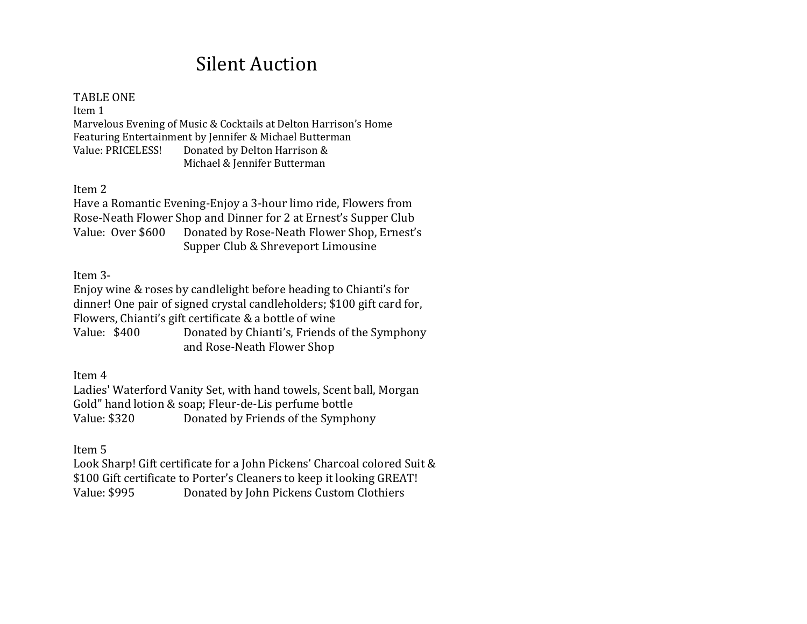# Silent Auction

#### TABLE ONE

Item 1 Marvelous Evening of Music & Cocktails at Delton Harrison's Home Featuring Entertainment by Jennifer & Michael Butterman Value: PRICELESS! Donated by Delton Harrison & Michael & Jennifer Butterman

Item 2

Have a Romantic Evening-Enjoy a 3-hour limo ride, Flowers from Rose-Neath Flower Shop and Dinner for 2 at Ernest's Supper Club Value: Over \$600 Donated by Rose-Neath Flower Shop, Ernest's Supper Club & Shreveport Limousine

Item 3-

Enjoy wine & roses by candlelight before heading to Chianti's for dinner! One pair of signed crystal candleholders; \$100 gift card for, Flowers, Chianti's gift certificate & a bottle of wine Value: \$400 Donated by Chianti's, Friends of the Symphony and Rose-Neath Flower Shop

Item 4

Ladies' Waterford Vanity Set, with hand towels, Scent ball, Morgan Gold" hand lotion & soap; Fleur-de-Lis perfume bottle Value: \$320 Donated by Friends of the Symphony

Item 5

Look Sharp! Gift certificate for a John Pickens' Charcoal colored Suit & \$100 Gift certificate to Porter's Cleaners to keep it looking GREAT! Value: \$995 Donated by John Pickens Custom Clothiers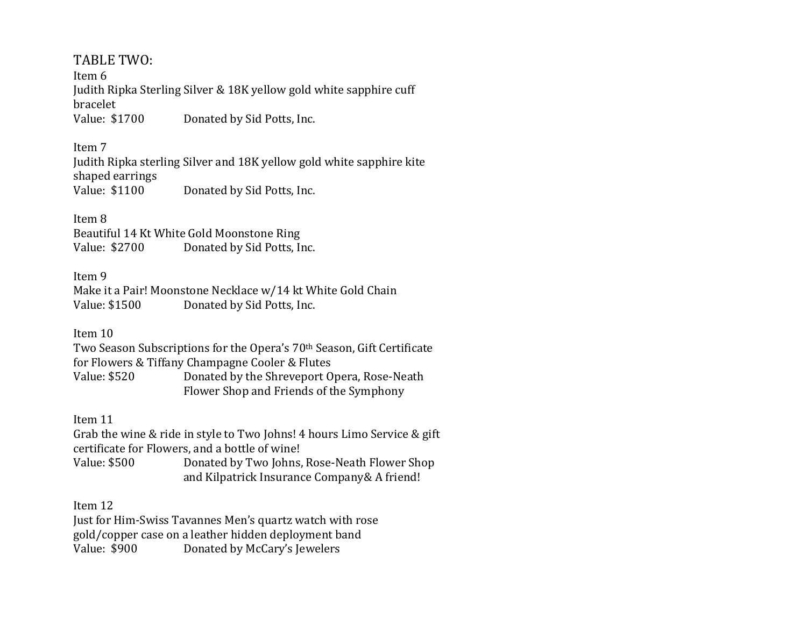# TABLE TWO:

Item 6 Judith Ripka Sterling Silver & 18K yellow gold white sapphire cuff bracelet Value: \$1700 Donated by Sid Potts, Inc.

### Item 7

Judith Ripka sterling Silver and 18K yellow gold white sapphire kite shaped earrings Value: \$1100 Donated by Sid Potts, Inc.

### Item 8

Beautiful 14 Kt White Gold Moonstone Ring Value: \$2700 Donated by Sid Potts, Inc.

### Item 9

Make it a Pair! Moonstone Necklace w/14 kt White Gold Chain Value: \$1500 Donated by Sid Potts, Inc.

### Item 10

Two Season Subscriptions for the Opera's 70th Season, Gift Certificate for Flowers & Tiffany Champagne Cooler & Flutes Value: \$520 Donated by the Shreveport Opera, Rose-Neath Flower Shop and Friends of the Symphony

### Item 11

Grab the wine & ride in style to Two Johns! 4 hours Limo Service & gift certificate for Flowers, and a bottle of wine!

Value: \$500 Donated by Two Johns, Rose-Neath Flower Shop and Kilpatrick Insurance Company& A friend!

### Item 12

Just for Him-Swiss Tavannes Men's quartz watch with rose gold/copper case on a leather hidden deployment band Value: \$900 Donated by McCary's Jewelers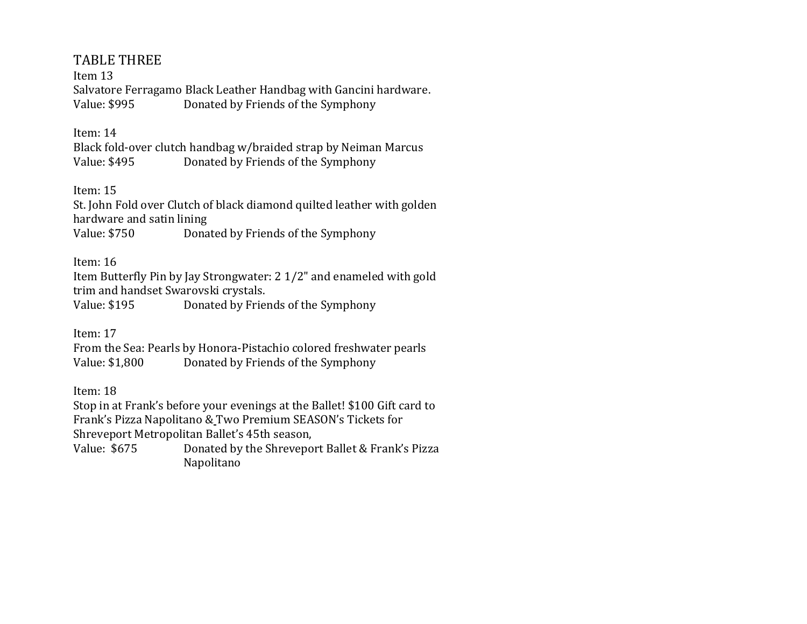# TABLE THREE

Item 13 Salvatore Ferragamo Black Leather Handbag with Gancini hardware. Value: \$995 Donated by Friends of the Symphony

### Item: 14

Black fold-over clutch handbag w/braided strap by Neiman Marcus Value: \$495 Donated by Friends of the Symphony

Item: 15

St. John Fold over Clutch of black diamond quilted leather with golden hardware and satin lining Value: \$750 Donated by Friends of the Symphony

Item: 16

Item Butterfly Pin by Jay Strongwater: 2 1/2" and enameled with gold trim and handset Swarovski crystals.

Value: \$195 Donated by Friends of the Symphony

Item: 17

From the Sea: Pearls by Honora-Pistachio colored freshwater pearls Value: \$1,800 Donated by Friends of the Symphony

Item: 18

Stop in at Frank's before your evenings at the Ballet! \$100 Gift card to Frank's Pizza Napolitano & Two Premium SEASON's Tickets for Shreveport Metropolitan Ballet's 45th season,

Value: \$675 Donated by the Shreveport Ballet & Frank's Pizza Napolitano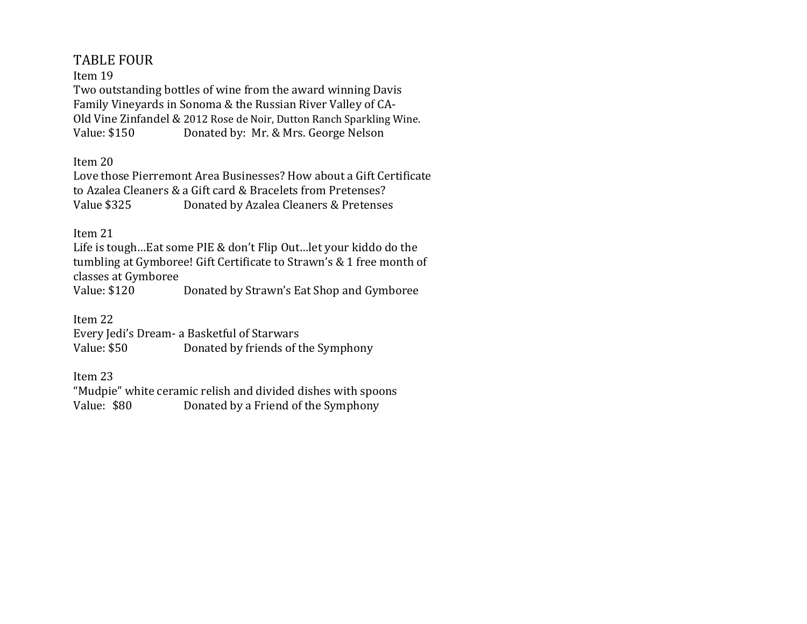# TABLE FOUR

### Item 19

Two outstanding bottles of wine from the award winning Davis Family Vineyards in Sonoma & the Russian River Valley of CA-Old Vine Zinfandel & 2012 Rose de Noir, Dutton Ranch Sparkling Wine. Value: \$150 Donated by: Mr. & Mrs. George Nelson

Item 20

Love those Pierremont Area Businesses? How about a Gift Certificate to Azalea Cleaners & a Gift card & Bracelets from Pretenses? Value \$325 Donated by Azalea Cleaners & Pretenses

### Item 21

Life is tough…Eat some PIE & don't Flip Out…let your kiddo do the tumbling at Gymboree! Gift Certificate to Strawn's & 1 free month of classes at Gymboree

Value: \$120 Donated by Strawn's Eat Shop and Gymboree

Item 22

Every Jedi's Dream- a Basketful of Starwars Value: \$50 Donated by friends of the Symphony

Item 23

"Mudpie" white ceramic relish and divided dishes with spoons Value: \$80 Donated by a Friend of the Symphony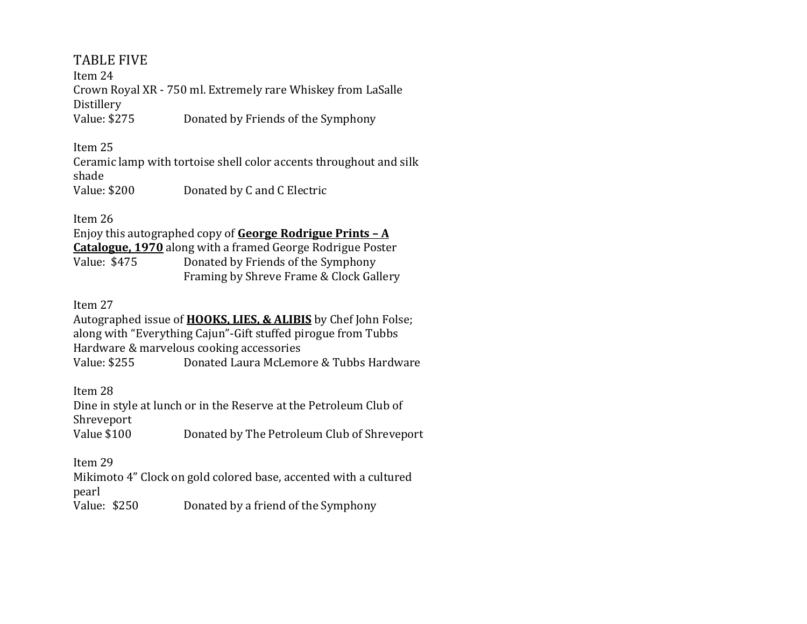# TABLE FIVE

Item 24 Crown Royal XR - 750 ml. Extremely rare Whiskey from LaSalle Distillery Value: \$275 Donated by Friends of the Symphony

Item 25

Ceramic lamp with tortoise shell color accents throughout and silk shade Value: \$200 Donated by C and C Electric

Enjoy this autographed copy of **George Rodrigue Prints – A Catalogue, 1970** along with a framed George Rodrigue Poster Value: \$475 Donated by Friends of the Symphony Framing by Shreve Frame & Clock Gallery

### Item 27

Autographed issue of **HOOKS, LIES, & ALIBIS** by Chef John Folse; along with "Everything Cajun"-Gift stuffed pirogue from Tubbs Hardware & marvelous cooking accessories Value: \$255 Donated Laura McLemore & Tubbs Hardware

Item 28

Dine in style at lunch or in the Reserve at the Petroleum Club of Shreveport Value \$100 Donated by The Petroleum Club of Shreveport

Item 29

Mikimoto 4" Clock on gold colored base, accented with a cultured pearl

Value: \$250 Donated by a friend of the Symphony

Item 26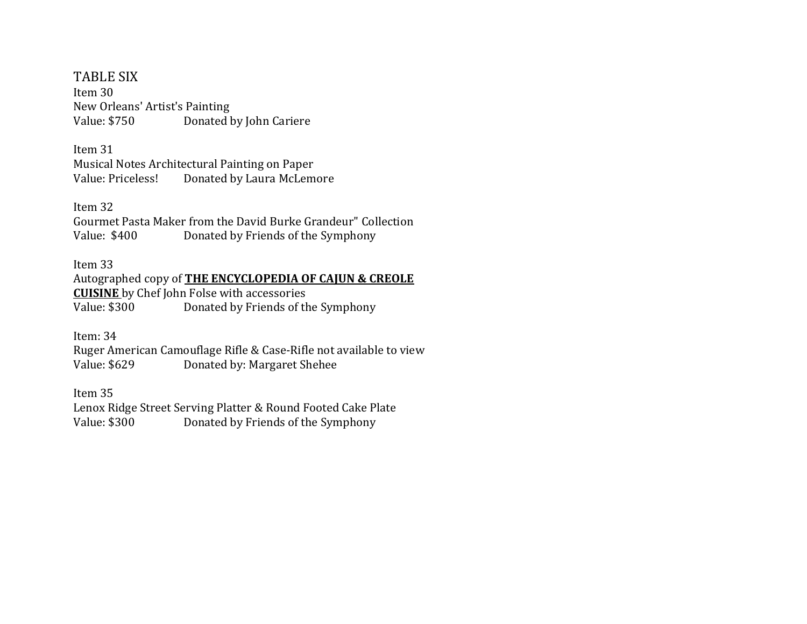TABLE SIX Item 30 New Orleans' Artist's Painting Value: \$750 Donated by John Cariere

Item 31 Musical Notes Architectural Painting on Paper Value: Priceless! Donated by Laura McLemore

Item 32

Gourmet Pasta Maker from the David Burke Grandeur" Collection Value: \$400 Donated by Friends of the Symphony

Item 33

Autographed copy of **THE ENCYCLOPEDIA OF CAJUN & CREOLE CUISINE** by Chef John Folse with accessories Value: \$300 Donated by Friends of the Symphony

Item: 34

Ruger American Camouflage Rifle & Case-Rifle not available to view Value: \$629 Donated by: Margaret Shehee

Item 35 Lenox Ridge Street Serving Platter & Round Footed Cake Plate Value: \$300 Donated by Friends of the Symphony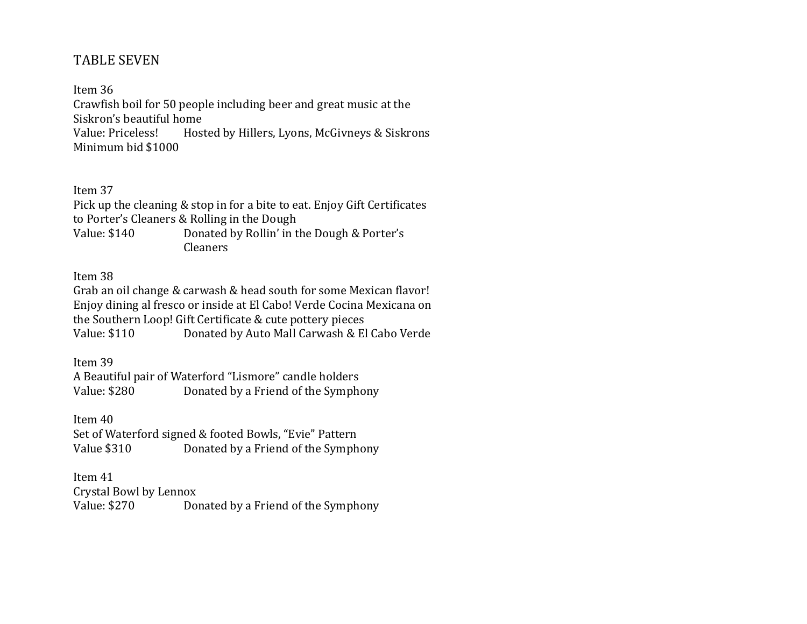# TABLE SEVEN

Item 36 Crawfish boil for 50 people including beer and great music at the Siskron's beautiful home Value: Priceless! Hosted by Hillers, Lyons, McGivneys & Siskrons Minimum bid \$1000

Item 37

Pick up the cleaning & stop in for a bite to eat. Enjoy Gift Certificates to Porter's Cleaners & Rolling in the Dough Value: \$140 Donated by Rollin' in the Dough & Porter's Cleaners

Item 38

Grab an oil change & carwash & head south for some Mexican flavor! Enjoy dining al fresco or inside at El Cabo! Verde Cocina Mexicana on the Southern Loop! Gift Certificate & cute pottery pieces Value: \$110 Donated by Auto Mall Carwash & El Cabo Verde

Item 39 A Beautiful pair of Waterford "Lismore" candle holders Value: \$280 Donated by a Friend of the Symphony

Item 40 Set of Waterford signed & footed Bowls, "Evie" Pattern Value \$310 Donated by a Friend of the Symphony

Item 41 Crystal Bowl by Lennox Value: \$270 Donated by a Friend of the Symphony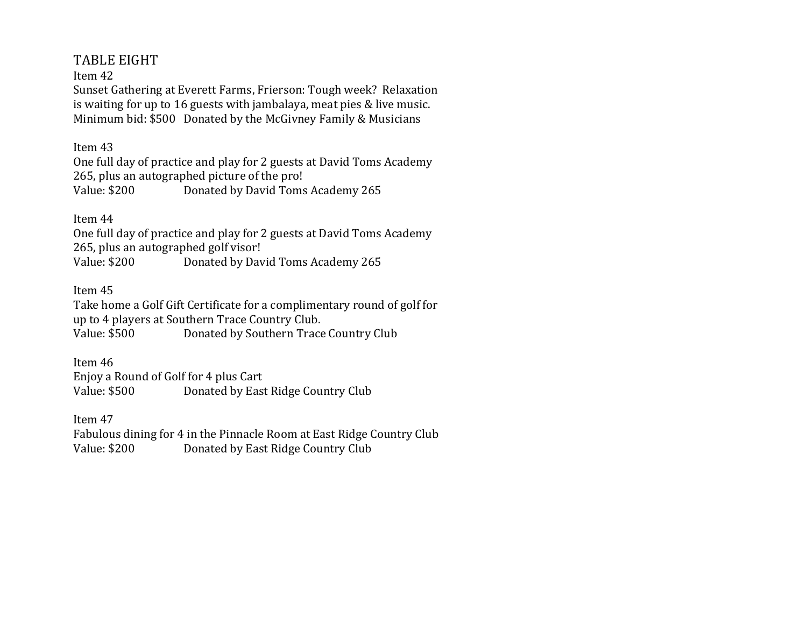# TABLE EIGHT

Item 42

Sunset Gathering at Everett Farms, Frierson: Tough week? Relaxation is waiting for up to 16 guests with jambalaya, meat pies & live music. Minimum bid: \$500 Donated by the McGivney Family & Musicians

Item 43

One full day of practice and play for 2 guests at David Toms Academy 265, plus an autographed picture of the pro! Value: \$200 Donated by David Toms Academy 265

Item 44

One full day of practice and play for 2 guests at David Toms Academy 265, plus an autographed golf visor! Value: \$200 Donated by David Toms Academy 265

Item 45

Take home a Golf Gift Certificate for a complimentary round of golf for up to 4 players at Southern Trace Country Club. Value: \$500 Donated by Southern Trace Country Club

Item 46 Enjoy a Round of Golf for 4 plus Cart Value: \$500 Donated by East Ridge Country Club

Item 47 Fabulous dining for 4 in the Pinnacle Room at East Ridge Country Club Value: \$200 Donated by East Ridge Country Club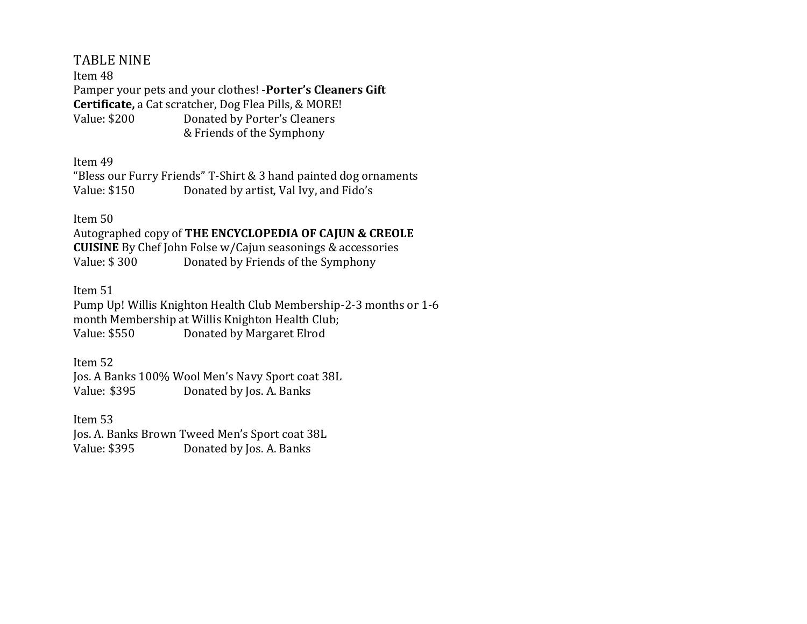# TABLE NINE

Item 48 Pamper your pets and your clothes! -**Porter's Cleaners Gift Certificate,** a Cat scratcher, Dog Flea Pills, & MORE! Value: \$200 Donated by Porter's Cleaners & Friends of the Symphony

Item 49

"Bless our Furry Friends" T-Shirt & 3 hand painted dog ornaments Value: \$150 Donated by artist, Val Ivy, and Fido's

### Item 50

Autographed copy of **THE ENCYCLOPEDIA OF CAJUN & CREOLE CUISINE** By Chef John Folse w/Cajun seasonings & accessories Value: \$ 300 Donated by Friends of the Symphony

Item 51

Pump Up! Willis Knighton Health Club Membership-2-3 months or 1-6 month Membership at Willis Knighton Health Club; Value: \$550 Donated by Margaret Elrod

Item 52 Jos. A Banks 100% Wool Men's Navy Sport coat 38L Value: \$395 Donated by Jos. A. Banks

Item 53 Jos. A. Banks Brown Tweed Men's Sport coat 38L Value: \$395 Donated by Jos. A. Banks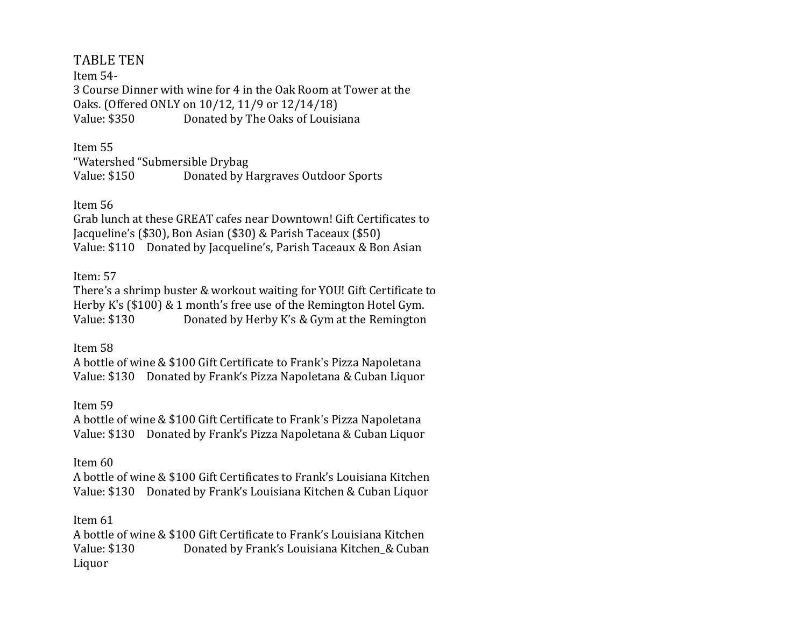# TABLE TEN

Item 54- 3 Course Dinner with wine for 4 in the Oak Room at Tower at the Oaks. (Offered ONLY on 10/12, 11/9 or 12/14/18) Value: \$350 Donated by The Oaks of Louisiana

Item 55 "Watershed "Submersible Drybag Value: \$150 Donated by Hargraves Outdoor Sports

Item 56

Grab lunch at these GREAT cafes near Downtown! Gift Certificates to Jacqueline's (\$30), Bon Asian (\$30) & Parish Taceaux (\$50) Value: \$110 Donated by Jacqueline's, Parish Taceaux & Bon Asian

### Item: 57

There's a shrimp buster & workout waiting for YOU! Gift Certificate to Herby K's (\$100) & 1 month's free use of the Remington Hotel Gym. Value: \$130 Donated by Herby K's & Gym at the Remington

Item 58

A bottle of wine & \$100 Gift Certificate to Frank's Pizza Napoletana Value: \$130 Donated by Frank's Pizza Napoletana & Cuban Liquor

### Item 59

A bottle of wine & \$100 Gift Certificate to Frank's Pizza Napoletana Value: \$130 Donated by Frank's Pizza Napoletana & Cuban Liquor

### Item 60

A bottle of wine & \$100 Gift Certificates to Frank's Louisiana Kitchen Value: \$130 Donated by Frank's Louisiana Kitchen & Cuban Liquor

### Item 61

A bottle of wine & \$100 Gift Certificate to Frank's Louisiana Kitchen Value: \$130 Donated by Frank's Louisiana Kitchen & Cuban Liquor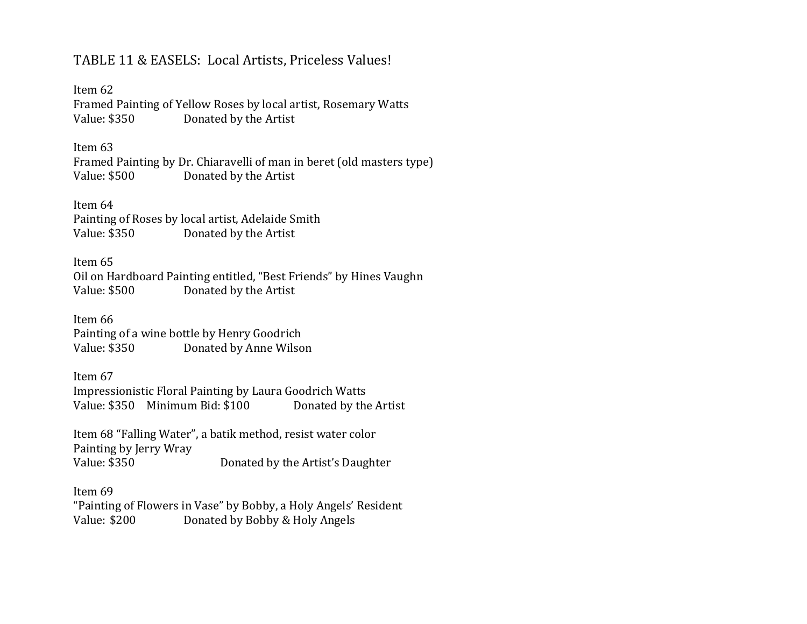# TABLE 11 & EASELS: Local Artists, Priceless Values!

Item 62 Framed Painting of Yellow Roses by local artist, Rosemary Watts Value: \$350 Donated by the Artist

Item 63

Framed Painting by Dr. Chiaravelli of man in beret (old masters type) Value: \$500 Donated by the Artist

Item 64 Painting of Roses by local artist, Adelaide Smith Value: \$350 Donated by the Artist

Item 65 Oil on Hardboard Painting entitled, "Best Friends" by Hines Vaughn Value: \$500 Donated by the Artist

Item 66 Painting of a wine bottle by Henry Goodrich Value: \$350 Donated by Anne Wilson

Item 67 Impressionistic Floral Painting by Laura Goodrich Watts Value: \$350 Minimum Bid: \$100 Donated by the Artist

Item 68 "Falling Water", a batik method, resist water color Painting by Jerry Wray Value: \$350 Donated by the Artist's Daughter

Item 69 "Painting of Flowers in Vase" by Bobby, a Holy Angels' Resident Value: \$200 Donated by Bobby & Holy Angels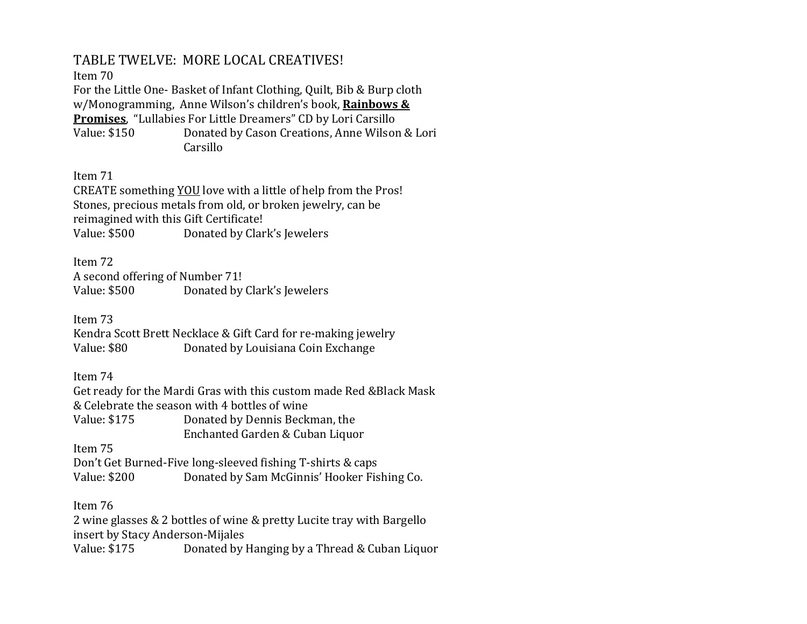# TABLE TWELVE: MORE LOCAL CREATIVES!

Item 70

For the Little One- Basket of Infant Clothing, Quilt, Bib & Burp cloth w/Monogramming, Anne Wilson's children's book, **Rainbows & Promises**, "Lullabies For Little Dreamers" CD by Lori Carsillo Value: \$150 Donated by Cason Creations, Anne Wilson & Lori Carsillo

Item 71

CREATE something YOU love with a little of help from the Pros! Stones, precious metals from old, or broken jewelry, can be reimagined with this Gift Certificate! Value: \$500 Donated by Clark's Jewelers

Item 72 A second offering of Number 71! Value: \$500 Donated by Clark's Jewelers

Item 73

Kendra Scott Brett Necklace & Gift Card for re-making jewelry Value: \$80 Donated by Louisiana Coin Exchange

Item 74

Get ready for the Mardi Gras with this custom made Red &Black Mask & Celebrate the season with 4 bottles of wine Value: \$175 Donated by Dennis Beckman, the Enchanted Garden & Cuban Liquor

Item 75

Don't Get Burned-Five long-sleeved fishing T-shirts & caps Value: \$200 Donated by Sam McGinnis' Hooker Fishing Co.

Item 76

2 wine glasses & 2 bottles of wine & pretty Lucite tray with Bargello insert by Stacy Anderson-Mijales

Value: \$175 Donated by Hanging by a Thread & Cuban Liquor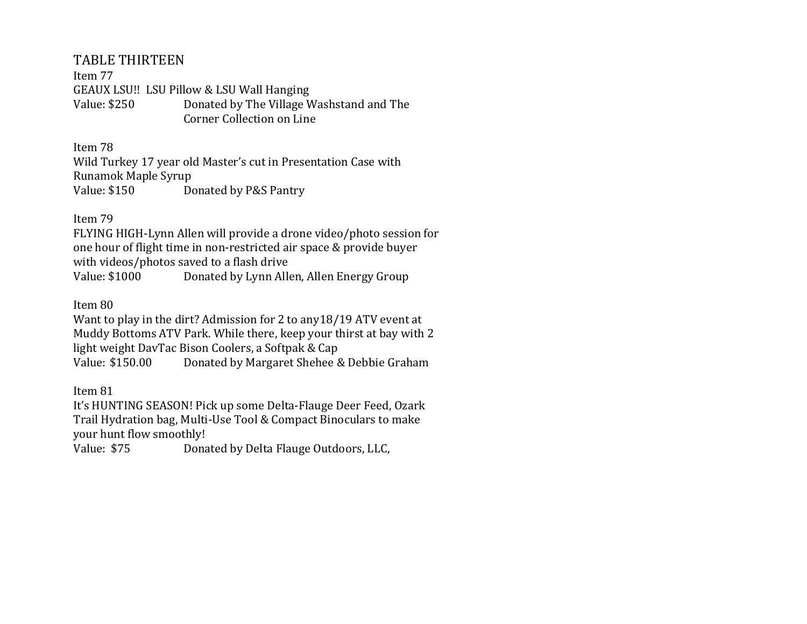# TABLE THIRTEEN

Item 77 GEAUX LSU!! LSU Pillow & LSU Wall Hanging Value: \$250 Donated by The Village Washstand and The Corner Collection on Line

Item 78

Wild Turkey 17 year old Master's cut in Presentation Case with Runamok Maple Syrup Value: \$150 Donated by P&S Pantry

Item 79

FLYING HIGH-Lynn Allen will provide a drone video/photo session for one hour of flight time in non-restricted air space & provide buyer with videos/photos saved to a flash drive

Value: \$1000 Donated by Lynn Allen, Allen Energy Group

Item 80

Want to play in the dirt? Admission for 2 to any18/19 ATV event at Muddy Bottoms ATV Park. While there, keep your thirst at bay with 2 light weight DavTac Bison Coolers, a Softpak & Cap Value: \$150.00 Donated by Margaret Shehee & Debbie Graham

Item 81

It's HUNTING SEASON! Pick up some Delta-Flauge Deer Feed, Ozark Trail Hydration bag, Multi-Use Tool & Compact Binoculars to make your hunt flow smoothly!

Value: \$75 Donated by Delta Flauge Outdoors, LLC,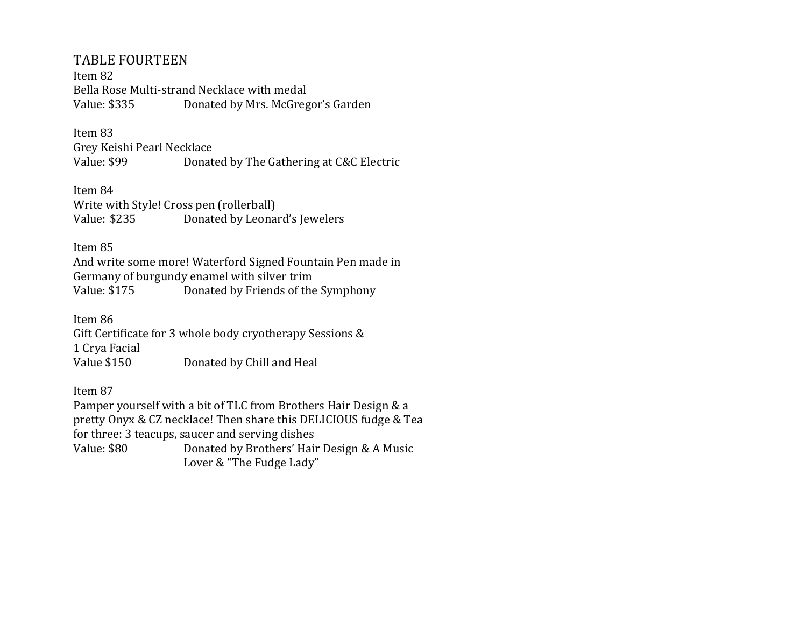### TABLE FOURTEEN

Item 82 Bella Rose Multi-strand Necklace with medal Value: \$335 Donated by Mrs. McGregor's Garden

# Item 83

Grey Keishi Pearl Necklace Value: \$99 Donated by The Gathering at C&C Electric

Item 84 Write with Style! Cross pen (rollerball) Value: \$235 Donated by Leonard's Jewelers

Item 85

And write some more! Waterford Signed Fountain Pen made in Germany of burgundy enamel with silver trim Value: \$175 Donated by Friends of the Symphony

Item 86 Gift Certificate for 3 whole body cryotherapy Sessions & 1 Crya Facial Value \$150 Donated by Chill and Heal

Item 87

Pamper yourself with a bit of TLC from Brothers Hair Design & a pretty Onyx & CZ necklace! Then share this DELICIOUS fudge & Tea for three: 3 teacups, saucer and serving dishes Value: \$80 Donated by Brothers' Hair Design & A Music Lover & "The Fudge Lady"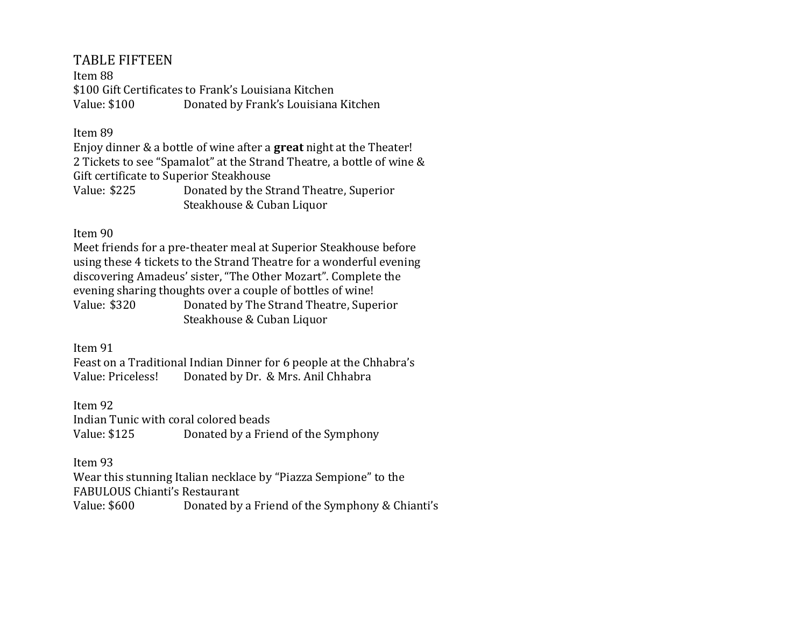# TABLE FIFTEEN

Item 88 \$100 Gift Certificates to Frank's Louisiana Kitchen Value: \$100 Donated by Frank's Louisiana Kitchen

### Item 89

Enjoy dinner & a bottle of wine after a **great** night at the Theater! 2 Tickets to see "Spamalot" at the Strand Theatre, a bottle of wine & Gift certificate to Superior Steakhouse Value: \$225 Donated by the Strand Theatre, Superior Steakhouse & Cuban Liquor

Item 90

Meet friends for a pre-theater meal at Superior Steakhouse before using these 4 tickets to the Strand Theatre for a wonderful evening discovering Amadeus' sister, "The Other Mozart". Complete the evening sharing thoughts over a couple of bottles of wine! Value: \$320 Donated by The Strand Theatre, Superior Steakhouse & Cuban Liquor

Item 91

Feast on a Traditional Indian Dinner for 6 people at the Chhabra's Value: Priceless! Donated by Dr. & Mrs. Anil Chhabra

Item 92 Indian Tunic with coral colored beads Value: \$125 Donated by a Friend of the Symphony

Item 93

Wear this stunning Italian necklace by "Piazza Sempione" to the FABULOUS Chianti's Restaurant Value: \$600 Donated by a Friend of the Symphony & Chianti's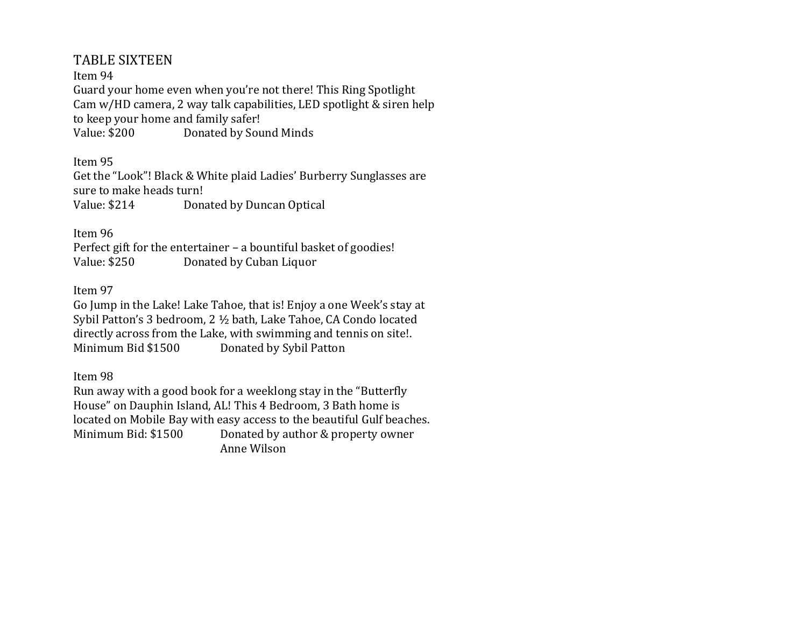# TABLE SIXTEEN

### Item 94

Guard your home even when you're not there! This Ring Spotlight Cam w/HD camera, 2 way talk capabilities, LED spotlight & siren help to keep your home and family safer! Value: \$200 Donated by Sound Minds

Item 95

Get the "Look"! Black & White plaid Ladies' Burberry Sunglasses are sure to make heads turn! Value: \$214 Donated by Duncan Optical

Item 96

Perfect gift for the entertainer – a bountiful basket of goodies! Value: \$250 Donated by Cuban Liquor

### Item 97

Go Jump in the Lake! Lake Tahoe, that is! Enjoy a one Week's stay at Sybil Patton's 3 bedroom, 2 ½ bath, Lake Tahoe, CA Condo located directly across from the Lake, with swimming and tennis on site!. Minimum Bid \$1500 Donated by Sybil Patton

Item 98

Run away with a good book for a weeklong stay in the "Butterfly House" on Dauphin Island, AL! This 4 Bedroom, 3 Bath home is located on Mobile Bay with easy access to the beautiful Gulf beaches. Minimum Bid: \$1500 Donated by author & property owner Anne Wilson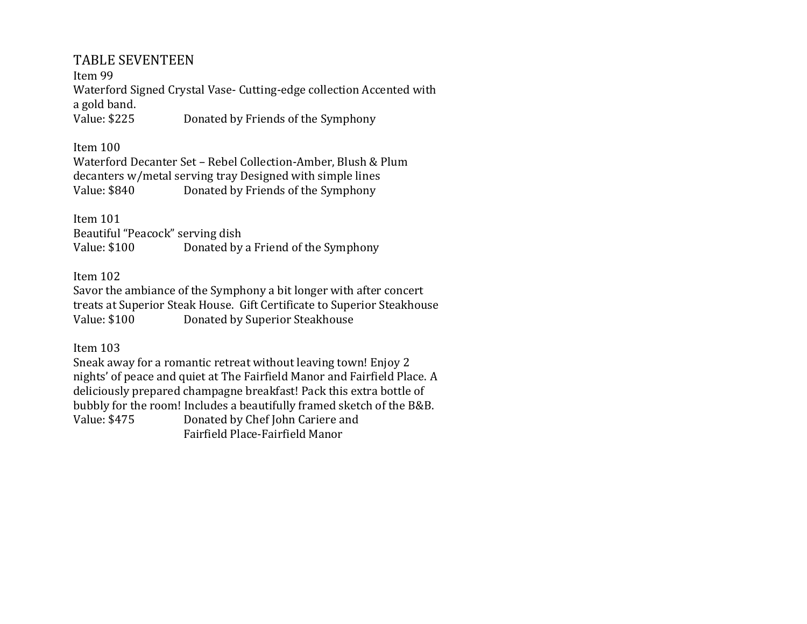# TABLE SEVENTEEN

Item 99 Waterford Signed Crystal Vase- Cutting-edge collection Accented with a gold band. Value: \$225 Donated by Friends of the Symphony

### Item 100

Waterford Decanter Set – Rebel Collection-Amber, Blush & Plum decanters w/metal serving tray Designed with simple lines Value: \$840 Donated by Friends of the Symphony

### Item 101

Beautiful "Peacock" serving dish Value: \$100 Donated by a Friend of the Symphony

### Item 102

Savor the ambiance of the Symphony a bit longer with after concert treats at Superior Steak House. Gift Certificate to Superior Steakhouse Value: \$100 Donated by Superior Steakhouse

### Item 103

Sneak away for a romantic retreat without leaving town! Enjoy 2 nights' of peace and quiet at The Fairfield Manor and Fairfield Place. A deliciously prepared champagne breakfast! Pack this extra bottle of bubbly for the room! Includes a beautifully framed sketch of the B&B. Value: \$475 Donated by Chef John Cariere and Fairfield Place-Fairfield Manor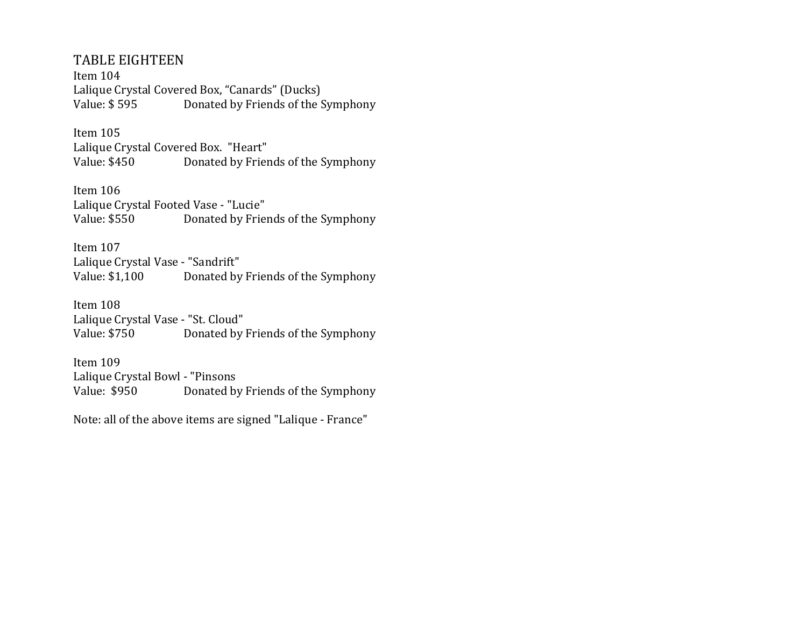# TABLE EIGHTEEN

Item 104 Lalique Crystal Covered Box, "Canards" (Ducks) Value: \$595 Donated by Friends of the Symphony

# Item 105

Lalique Crystal Covered Box. "Heart" Value: \$450 Donated by Friends of the Symphony

Item 106 Lalique Crystal Footed Vase - "Lucie" Value: \$550 Donated by Friends of the Symphony

Item 107 Lalique Crystal Vase - "Sandrift" Value: \$1,100 Donated by Friends of the Symphony

Item 108 Lalique Crystal Vase - "St. Cloud" Value: \$750 Donated by Friends of the Symphony

Item 109 Lalique Crystal Bowl - "Pinsons Value: \$950 Donated by Friends of the Symphony

Note: all of the above items are signed "Lalique - France"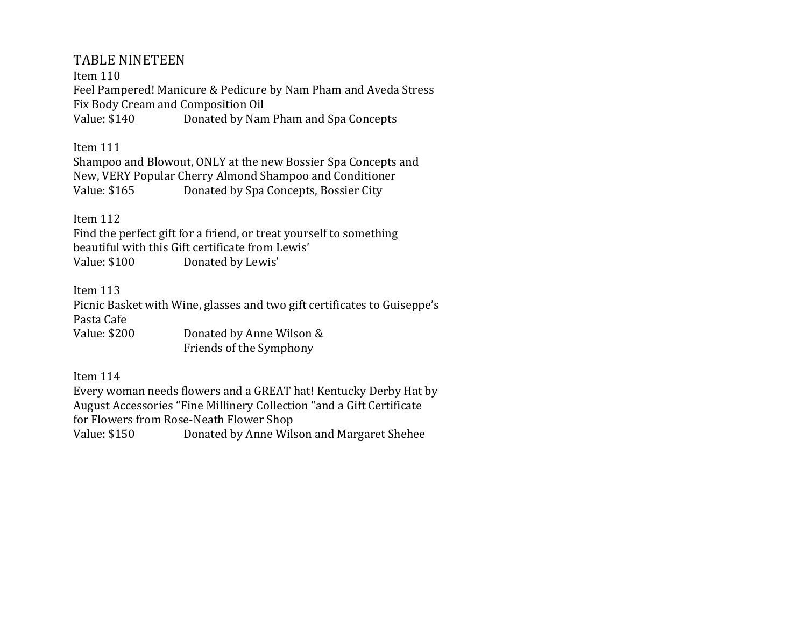# TABLE NINETEEN

Item 110 Feel Pampered! Manicure & Pedicure by Nam Pham and Aveda Stress Fix Body Cream and Composition Oil Value: \$140 Donated by Nam Pham and Spa Concepts

Item 111

Shampoo and Blowout, ONLY at the new Bossier Spa Concepts and New, VERY Popular Cherry Almond Shampoo and Conditioner Value: \$165 Donated by Spa Concepts, Bossier City

Item 112

Find the perfect gift for a friend, or treat yourself to something beautiful with this Gift certificate from Lewis' Value: \$100 Donated by Lewis'

Item 113

Picnic Basket with Wine, glasses and two gift certificates to Guiseppe's Pasta Cafe

Value: \$200 Donated by Anne Wilson & Friends of the Symphony

Item 114

Every woman needs flowers and a GREAT hat! Kentucky Derby Hat by August Accessories "Fine Millinery Collection "and a Gift Certificate for Flowers from Rose-Neath Flower Shop Value: \$150 Donated by Anne Wilson and Margaret Shehee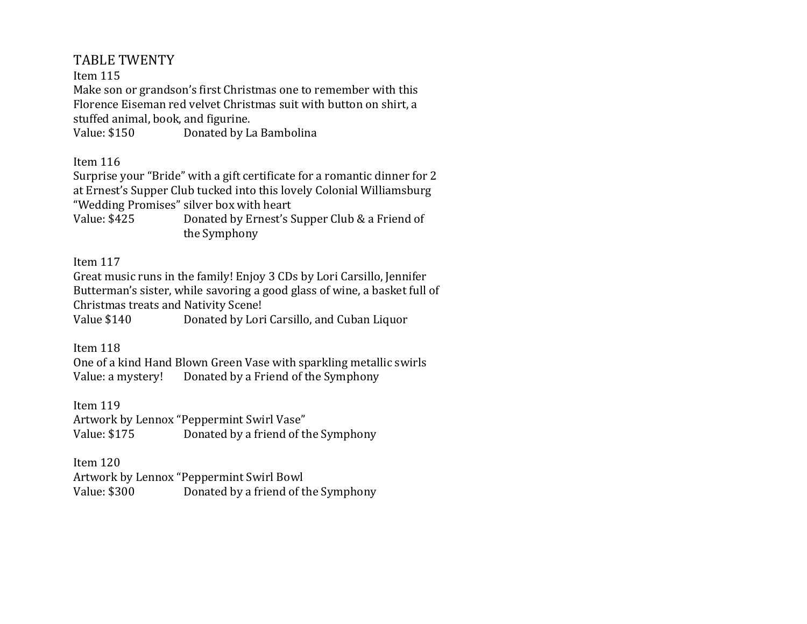# TABLE TWENTY

Item 115

Make son or grandson's first Christmas one to remember with this Florence Eiseman red velvet Christmas suit with button on shirt, a stuffed animal, book, and figurine.

Value: \$150 Donated by La Bambolina

Item 116

Surprise your "Bride" with a gift certificate for a romantic dinner for 2 at Ernest's Supper Club tucked into this lovely Colonial Williamsburg "Wedding Promises" silver box with heart

Value: \$425 Donated by Ernest's Supper Club & a Friend of the Symphony

Item 117

Great music runs in the family! Enjoy 3 CDs by Lori Carsillo, Jennifer Butterman's sister, while savoring a good glass of wine, a basket full of Christmas treats and Nativity Scene!

Value \$140 Donated by Lori Carsillo, and Cuban Liquor

Item 118

One of a kind Hand Blown Green Vase with sparkling metallic swirls Value: a mystery! Donated by a Friend of the Symphony

Item 119

Artwork by Lennox "Peppermint Swirl Vase" Value: \$175 Donated by a friend of the Symphony

Item 120

Artwork by Lennox "Peppermint Swirl Bowl Value: \$300 Donated by a friend of the Symphony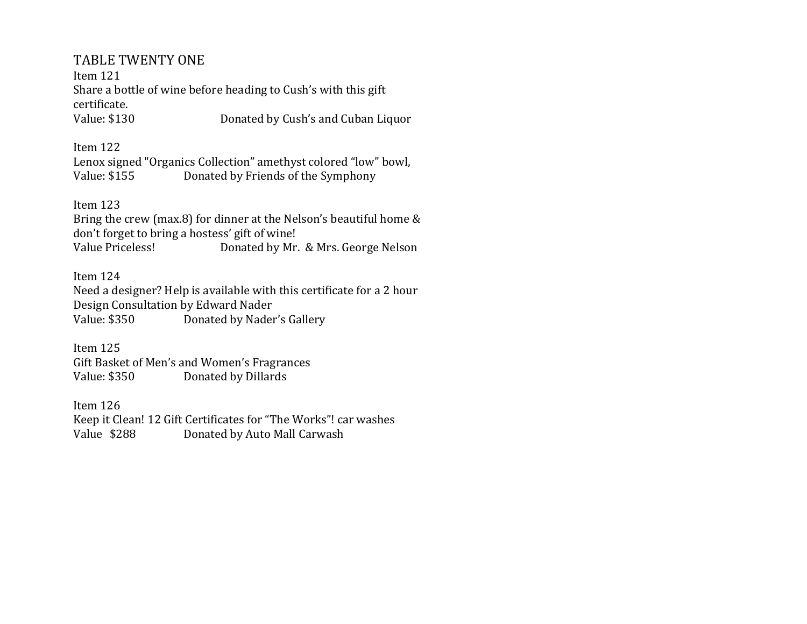# TABLE TWENTY ONE

Item 121 Share a bottle of wine before heading to Cush's with this gift certificate. Value: \$130 Donated by Cush's and Cuban Liquor

Item 122 Lenox signed "Organics Collection" amethyst colored "low" bowl, Value: \$155 Donated by Friends of the Symphony

Item 123

Bring the crew (max.8) for dinner at the Nelson's beautiful home & don't forget to bring a hostess' gift of wine! Value Priceless! Donated by Mr. & Mrs. George Nelson

Item 124 Need a designer? Help is available with this certificate for a 2 hour Design Consultation by Edward Nader Value: \$350 Donated by Nader's Gallery

Item 125 Gift Basket of Men's and Women's Fragrances Value: \$350 Donated by Dillards

Item 126 Keep it Clean! 12 Gift Certificates for "The Works"! car washes Value \$288 Donated by Auto Mall Carwash